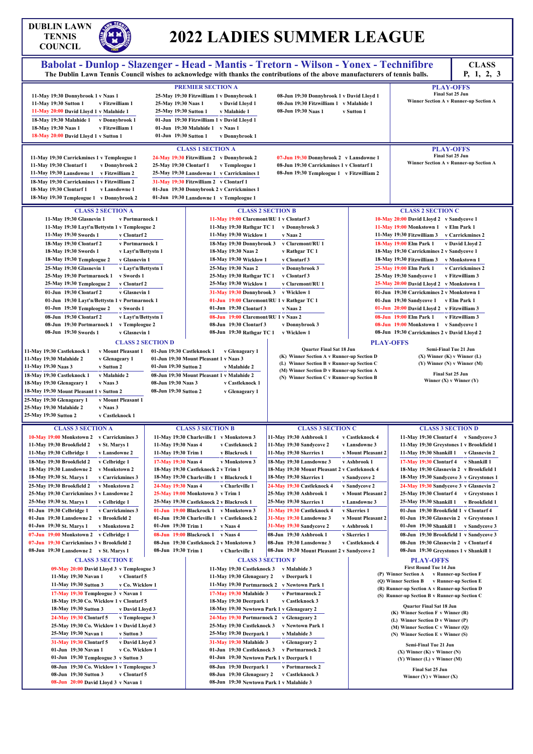## **DUBLIN LAWN**<br>TENNIS<br>COUNCH **TENNIS COUNCIL**

## **2022 LADIES SUMMER LEAGUE**

| COURCIL<br>1902                                                                                                                                                                                                                                                                                                                                                                                                                                                                                                                                                                                                                                                                                                                                                                                                                                                                                                                                                                                                                                                                                                |                                                                                                                                                                                                                                                                                                                                                                                                                                                                                                                                                                                                                                                                                                                                                                 |                                                                                                                                                                                                                                                                                                                                                                                                                                                                                                                                |                                                                                                                                                                                                                                                                                                                                                                                                                                                                                                                                                                                                                                                                                                                                                                                                                                                                                                                                                                                    |
|----------------------------------------------------------------------------------------------------------------------------------------------------------------------------------------------------------------------------------------------------------------------------------------------------------------------------------------------------------------------------------------------------------------------------------------------------------------------------------------------------------------------------------------------------------------------------------------------------------------------------------------------------------------------------------------------------------------------------------------------------------------------------------------------------------------------------------------------------------------------------------------------------------------------------------------------------------------------------------------------------------------------------------------------------------------------------------------------------------------|-----------------------------------------------------------------------------------------------------------------------------------------------------------------------------------------------------------------------------------------------------------------------------------------------------------------------------------------------------------------------------------------------------------------------------------------------------------------------------------------------------------------------------------------------------------------------------------------------------------------------------------------------------------------------------------------------------------------------------------------------------------------|--------------------------------------------------------------------------------------------------------------------------------------------------------------------------------------------------------------------------------------------------------------------------------------------------------------------------------------------------------------------------------------------------------------------------------------------------------------------------------------------------------------------------------|------------------------------------------------------------------------------------------------------------------------------------------------------------------------------------------------------------------------------------------------------------------------------------------------------------------------------------------------------------------------------------------------------------------------------------------------------------------------------------------------------------------------------------------------------------------------------------------------------------------------------------------------------------------------------------------------------------------------------------------------------------------------------------------------------------------------------------------------------------------------------------------------------------------------------------------------------------------------------------|
|                                                                                                                                                                                                                                                                                                                                                                                                                                                                                                                                                                                                                                                                                                                                                                                                                                                                                                                                                                                                                                                                                                                | Babolat - Dunlop - Slazenger - Head - Mantis - Tretorn - Wilson - Yonex - Technifibre<br>The Dublin Lawn Tennis Council wishes to acknowledge with thanks the contributions of the above manufacturers of tennis balls.                                                                                                                                                                                                                                                                                                                                                                                                                                                                                                                                         |                                                                                                                                                                                                                                                                                                                                                                                                                                                                                                                                | <b>CLASS</b><br>P, 1, 2, 3                                                                                                                                                                                                                                                                                                                                                                                                                                                                                                                                                                                                                                                                                                                                                                                                                                                                                                                                                         |
| 11-May 19:30 Donnybrook 1 v Naas 1<br>11-May 19:30 Sutton 1<br>v Fitzwilliam 1<br>11-May 20:00 David Lloyd 1 v Malahide 1<br>18-May 19:30 Malahide 1<br>v Donnybrook 1<br>v Fitzwilliam 1<br>18-May 19:30 Naas 1<br>18-May 20:00 David Lloyd 1 v Sutton 1                                                                                                                                                                                                                                                                                                                                                                                                                                                                                                                                                                                                                                                                                                                                                                                                                                                      | <b>PREMIER SECTION A</b><br>25-May 19:30 Fitzwilliam 1 v Donnybrook 1<br>25-May 19:30 Naas 1<br>v David Lloyd 1<br>25-May 19:30 Sutton 1<br>v Malahide 1<br>01-Jun 19:30 Fitzwilliam 1 v David Lloyd 1<br>01-Jun 19:30 Malahide 1 v Naas 1<br>01-Jun 19:30 Sutton 1<br>v Donnybrook 1                                                                                                                                                                                                                                                                                                                                                                                                                                                                           | 08-Jun 19:30 Donnybrook 1 v David Lloyd 1<br>08-Jun 19:30 Fitzwilliam 1 v Malahide 1<br>08-Jun 19:30 Naas 1                                                                                                                                                                                                                                                                                                                                                                                                                    | <b>PLAY-OFFS</b><br>Final Sat 25 Jun<br>Winner Section A v Runner-up Section A<br>v Sutton 1                                                                                                                                                                                                                                                                                                                                                                                                                                                                                                                                                                                                                                                                                                                                                                                                                                                                                       |
|                                                                                                                                                                                                                                                                                                                                                                                                                                                                                                                                                                                                                                                                                                                                                                                                                                                                                                                                                                                                                                                                                                                | <b>CLASS 1 SECTION A</b>                                                                                                                                                                                                                                                                                                                                                                                                                                                                                                                                                                                                                                                                                                                                        |                                                                                                                                                                                                                                                                                                                                                                                                                                                                                                                                | <b>PLAY-OFFS</b>                                                                                                                                                                                                                                                                                                                                                                                                                                                                                                                                                                                                                                                                                                                                                                                                                                                                                                                                                                   |
| 11-May 19:30 Carrickmines 1 v Templeogue 1<br>11-May 19:30 Clontarf 1<br>v Donnybrook 2<br>11-May 19:30 Lansdowne 1 v Fitzwilliam 2<br>18-May 19:30 Carrickmines 1 v Fitzwilliam 2<br>18-May 19:30 Clontarf 1<br>v Lansdowne 1<br>18-May 19:30 Templeogue 1 v Donnybrook 2                                                                                                                                                                                                                                                                                                                                                                                                                                                                                                                                                                                                                                                                                                                                                                                                                                     | 24-May 19:30 Fitzwilliam 2 v Donnybrook 2<br>25-May 19:30 Clontarf 1<br>v Templeogue 1<br>25-May 19:30 Lansdowne 1 v Carrickmines 1<br>31-May 19:30 Fitzwilliam 2 v Clontarf 1<br>01-Jun 19:30 Donnybrook 2 v Carrickmines 1<br>01-Jun 19:30 Lansdowne 1 v Templeogue 1                                                                                                                                                                                                                                                                                                                                                                                                                                                                                         | 07-Jun 19:30 Donnybrook 2 v Lansdowne 1<br>08-Jun 19:30 Carrickmines 1 v Clontarf 1<br>08-Jun 19:30 Templeogue 1 v Fitzwilliam 2                                                                                                                                                                                                                                                                                                                                                                                               | Final Sat 25 Jun<br>Winner Section A v Runner-up Section A                                                                                                                                                                                                                                                                                                                                                                                                                                                                                                                                                                                                                                                                                                                                                                                                                                                                                                                         |
| <b>CLASS 2 SECTION A</b>                                                                                                                                                                                                                                                                                                                                                                                                                                                                                                                                                                                                                                                                                                                                                                                                                                                                                                                                                                                                                                                                                       |                                                                                                                                                                                                                                                                                                                                                                                                                                                                                                                                                                                                                                                                                                                                                                 | <b>CLASS 2 SECTION B</b>                                                                                                                                                                                                                                                                                                                                                                                                                                                                                                       | <b>CLASS 2 SECTION C</b>                                                                                                                                                                                                                                                                                                                                                                                                                                                                                                                                                                                                                                                                                                                                                                                                                                                                                                                                                           |
| 11-May 19:30 Glasnevin 1<br>v Portmarnock 1<br>11-May 19:30 Layt'n/Bettystn 1 v Templeogue 2<br>11-May 19:30 Swords 1<br>v Clontarf 2<br>18-May 19:30 Clontarf 2<br>v Portmarnock 1<br>18-May 19:30 Swords 1<br>v Layt'n/Bettystn 1<br>18-May 19:30 Templeogue 2<br>v Glasnevin 1<br>25-May 19:30 Glasnevin 1<br>v Layt'n/Bettystn 1<br>25-May 19:30 Portmarnock 1<br>v Swords 1<br>25-May 19:30 Templeogue 2<br>v Clontarf 2<br>01-Jun 19:30 Clontarf 2<br>v Glasnevin 1<br>01-Jun 19:30 Layt'n/Bettystn 1 v Portmarnock 1<br>01-Jun 19:30 Templeogue 2<br>v Swords 1<br>08-Jun 19:30 Clontarf 2<br>v Layt'n/Bettystn 1<br>08-Jun 19:30 Portmarnock 1 v Templeogue 2<br>08-Jun 19:30 Swords 1<br>v Glasnevin 1<br><b>CLASS 2 SECTION D</b><br>11-May 19:30 Castleknock 1<br>v Mount Pleasant 1<br>11-May 19:30 Malahide 2<br>v Glenageary 1<br>11-May 19:30 Naas 3<br>v Sutton 2<br>v Malahide 2<br>18-May 19:30 Castleknock 1<br>18-May 19:30 Glenageary 1<br>v Naas 3<br>18-May 19:30 Mount Pleasant 1 v Sutton 2<br>v Mount Pleasant 1<br>25-May 19:30 Glenageary 1<br>25-May 19:30 Malahide 2<br>v Naas 3 | 11-May 19:00 Claremont/RU 1 v Clontarf 3<br>11-May 19:30 Rathgar TC 1<br>11-May 19:30 Wicklow 1<br>18-May 19:30 Donnybrook 3<br>18-May 19:30 Naas 2<br>18-May 19:30 Wicklow 1<br>25-May 19:30 Naas 2<br>25-May 19:30 Rathgar TC 1<br>25-May 19:30 Wicklow 1<br>31-May 19:30 Donnybrook 3 v Wicklow 1<br>01-Jun 19:00 Claremont/RU 1 v Rathgar TC 1<br>01-Jun 19:30 Clontarf 3<br>08-Jun 19:00 Claremont/RU 1 v Naas 2<br>08-Jun 19:30 Clontarf 3<br>08-Jun 19:30 Rathgar TC 1 v Wicklow 1<br>01-Jun 19:30 Castleknock 1<br>v Glenageary 1<br>01-Jun 19:30 Mount Pleasant 1 v Naas 3<br>01-Jun 19:30 Sutton 2<br>v Malahide 2<br>08-Jun 19:30 Mount Pleasant 1 v Malahide 2<br>08-Jun 19:30 Naas 3<br>v Castleknock 1<br>08-Jun 19:30 Sutton 2<br>v Glenageary 1 | v Donnybrook 3<br>v Naas 2<br>v Claremont/RU 1<br>v Rathgar TC 1<br>v Clontarf 3<br>v Donnybrook 3<br>v Clontarf 3<br>v Claremont/RU 1<br>v Naas 2<br>v Donnybrook 3<br><b>Quarter Final Sat 18 Jun</b><br>(K) Winner Section A v Runner-up Section D<br>(L) Winner Section B v Runner-up Section C<br>(M) Winner Section D v Runner-up Section A<br>(N) Winner Section C v Runner-up Section B                                                                                                                                | 10-May 20:00 David Lloyd 2 v Sandycove 1<br>11-May 19:00 Monkstown 1 v Elm Park 1<br>11-May 19:30 Fitzwilliam 3 v Carrickmines 2<br>18-May 19:00 Elm Park 1<br>v David Lloyd 2<br>18-May 19:30 Carrickmines 2 v Sandycove 1<br>18-May 19:30 Fitzwilliam 3<br>v Monkstown 1<br>25-May 19:00 Elm Park 1<br>v Carrickmines 2<br>v Fitzwilliam 3<br>25-May 19:30 Sandycove 1<br>25-May 20:00 David Lloyd 2 v Monkstown 1<br>01-Jun 19:30 Carrickmines 2 v Monkstown 1<br>01-Jun 19:30 Sandycove 1 v Elm Park 1<br>01-Jun 20:00 David Lloyd 2 v Fitzwilliam 3<br>08-Jun 19:00 Elm Park 1<br>v Fitzwilliam 3<br>08-Jun 19:00 Monkstown 1 v Sandycove 1<br>08-Jun 19:30 Carrickmines 2 v David Lloyd 2<br><b>PLAY-OFFS</b><br>Semi-Final Tue 21 Jun<br>$(X)$ Winner $(K)$ v Winner $(L)$<br>$(Y)$ Winner $(N)$ v Winner $(M)$<br>Final Sat 25 Jun<br>Winner $(X)$ v Winner $(Y)$                                                                                                          |
| 25-May 19:30 Sutton 2<br>v Castleknock 1                                                                                                                                                                                                                                                                                                                                                                                                                                                                                                                                                                                                                                                                                                                                                                                                                                                                                                                                                                                                                                                                       |                                                                                                                                                                                                                                                                                                                                                                                                                                                                                                                                                                                                                                                                                                                                                                 |                                                                                                                                                                                                                                                                                                                                                                                                                                                                                                                                |                                                                                                                                                                                                                                                                                                                                                                                                                                                                                                                                                                                                                                                                                                                                                                                                                                                                                                                                                                                    |
| <b>CLASS 3 SECTION A</b><br>10-May 19:00 Monkstown 2 v Carrickmines 3<br>11-May 19:30 Brookfield 2<br>v St. Marys 1<br>11-May 19:30 Celbridge 1<br>v Lansdowne 2<br>v Celbridge 1<br>18-May 19:30 Brookfield 2<br>v Monkstown 2<br>18-May 19:30 Lansdowne 2<br>18-May 19:30 St. Marys 1<br>v Carrickmines 3<br>v Monkstown 2<br>25-May 19:30 Brookfield 2<br>25-May 19:30 Carrickmines 3 v Lansdowne 2<br>25-May 19:30 St. Marys 1<br>v Celbridge 1<br>01-Jun 19:30 Celbridge 1<br>v Carrickmines 3<br>01-Jun 19:30 Lansdowne 2<br>v Brookfield 2<br>01-Jun 19:30 St. Marys 1<br>v Monkstown 2<br>07-Jun 19:00 Monkstown 2 v Celbridge 1<br>07-Jun 19:30 Carrickmines 3 v Brookfield 2<br>08-Jun 19:30 Lansdowne 2 v St. Marys 1<br><b>CLASS 3 SECTION E</b><br>09-May 20:00 David Lloyd 3 v Templeogue 3                                                                                                                                                                                                                                                                                                      | <b>CLASS 3 SECTION B</b><br>11-May 19:30 Charleville 1 v Monkstown 3<br>v Castleknock 2<br>11-May 19:30 Naas 4<br>11-May 19:30 Trim 1<br>v Blackrock 1<br>17-May 19:30 Naas 4<br>v Monkstown 3<br>18-May 19:30 Castleknock 2 v Trim 1<br>18-May 19:30 Charleville 1 v Blackrock 1<br>24-May 19:30 Naas 4<br>v Charleville 1<br>25-May 19:00 Monkstown 3 v Trim 1<br>25-May 19:30 Castleknock 2 v Blackrock 1<br>01-Jun 19:00 Blackrock 1 v Monkstown 3<br>01-Jun 19:30 Charleville 1 v Castleknock 2<br>01-Jun 19:30 Trim 1<br>v Naas 4<br>08-Jun 19:00 Blackrock 1 v Naas 4<br>08-Jun 19:30 Castleknock 2 v Monkstown 3<br>08-Jun 19:30 Trim 1<br>v Charleville 1<br>11-May 19:30 Castleknock 3 v Malahide 3                                                   | <b>CLASS 3 SECTION C</b><br>11-May 19:30 Ashbrook 1<br>11-May 19:30 Sandycove 2<br>11-May 19:30 Skerries 1<br>18-May 19:30 Lansdowne 3<br>18-May 19:30 Mount Pleasant 2 v Castleknock 4<br>18-May 19:30 Skerries 1<br>24-May 19:30 Castleknock 4<br>25-May 19:30 Ashbrook 1<br>25-May 19:30 Skerries 1<br>31-May 19:30 Castleknock 4<br>31-May 19:30 Lansdowne 3<br>31-May 19:30 Sandycove 2<br>08-Jun 19:30 Ashbrook 1<br>08-Jun 19:30 Lansdowne 3<br>08-Jun 19:30 Mount Pleasant 2 v Sandycove 2<br><b>CLASS 3 SECTION F</b> | <b>CLASS 3 SECTION D</b><br>v Castleknock 4<br>11-May 19:30 Clontarf 4 v Sandycove 3<br>v Lansdowne 3<br>11-May 19:30 Greystones 1 v Brookfield 1<br>v Mount Pleasant 2<br>11-May 19:30 Shankill 1 v Glasnevin 2<br>17-May 19:30 Clontarf 4 v Shankill 1<br>v Ashbrook 1<br>18-May 19:30 Glasnevin 2 v Brookfield 1<br>18-May 19:30 Sandycove 3 v Greystones 1<br>v Sandycove 2<br>v Sandycove 2<br>24-May 19:30 Sandycove 3 v Glasnevin 2<br>v Mount Pleasant 2<br>25-May 19:30 Clontarf 4 v Greystones 1<br>25-May 19:30 Shankill 1<br>v Lansdowne 3<br>v Brookfield 1<br>v Skerries 1<br>01-Jun 19:30 Brookfield 1 v Clontarf 4<br>v Mount Pleasant 2<br>01-Jun 19:30 Glasnevin 2 v Greystones 1<br>01-Jun 19:30 Shankill 1 v Sandycove 3<br>v Ashbrook 1<br>v Skerries 1<br>08-Jun 19:30 Brookfield 1 v Sandycove 3<br>v Castleknock 4<br>08-Jun 19:30 Glasnevin 2 v Clontarf 4<br>08-Jun 19:30 Greystones 1 v Shankill 1<br><b>PLAY-OFFS</b><br><b>First Round Tue 14 Jun</b> |
| v Clontarf 5<br>11-May 19:30 Navan 1<br>11-May 19:30 Sutton 3<br>v Co. Wicklow 1<br>17-May 19:30 Templeogue 3 v Navan 1<br>18-May 19:30 Co. Wicklow 1 v Clontarf 5<br>18-May 19:30 Sutton 3<br>v David Lloyd 3<br>24-May 19:30 Clontarf 5<br>v Templeogue 3<br>25-May 19:30 Co. Wicklow 1 v David Lloyd 3<br>25-May 19:30 Navan 1<br>v Sutton 3<br>31-May 19:30 Clontarf 5<br>v David Lloyd 3<br>v Co. Wicklow 1<br>01-Jun 19:30 Navan 1<br>01-Jun 19:30 Templeogue 3 v Sutton 3<br>08-Jun 19:30 Co. Wicklow 1 v Templeogue 3<br>08-Jun 19:30 Sutton 3<br>v Clontarf 5                                                                                                                                                                                                                                                                                                                                                                                                                                                                                                                                         | 11-May 19:30 Glenageary 2<br>17-May 19:30 Malahide 3<br>18-May 19:30 Deerpark 1<br>18-May 19:30 Newtown Park 1 v Glenageary 2<br>25-May 19:30 Castleknock 3<br>25-May 19:30 Deerpark 1<br>31-May 19:30 Malahide 3<br>01-Jun 19:30 Castleknock 3<br>01-Jun 19:30 Newtown Park 1 v Deerpark 1<br>08-Jun 19:30 Deerpark 1<br>08-Jun 19:30 Glenageary 2                                                                                                                                                                                                                                                                                                                                                                                                             | v Deerpark 1<br>11-May 19:30 Portmarnock 2 v Newtown Park 1<br>v Portmarnock 2<br>v Castleknock 3<br>24-May 19:30 Portmarnock 2 v Glenageary 2<br>v Newtown Park 1<br>v Malahide 3<br>v Glenageary 2<br>v Portmarnock 2<br>v Portmarnock 2<br>v Castleknock 3                                                                                                                                                                                                                                                                  | (P) Winner Section A<br>v Runner-up Section F<br>v Runner-up Section E<br>(O) Winner Section B<br>(R) Runner-up Section A v Runner-up Section D<br>(S) Runner-up Section B v Runner-up Section C<br><b>Quarter Final Sat 18 Jun</b><br>$(K)$ Winner Section F v Winner $(R)$<br>(L) Winner Section D v Winner (P)<br>(M) Winner Section C v Winner (Q)<br>(N) Winner Section E v Winner (S)<br>Semi-Final Tue 21 Jun<br>$(X)$ Winner $(K)$ v Winner $(N)$<br>$(Y)$ Winner $(L)$ v Winner $(M)$<br>Final Sat 25 Jun<br>Winner $(Y)$ v Winner $(X)$                                                                                                                                                                                                                                                                                                                                                                                                                                  |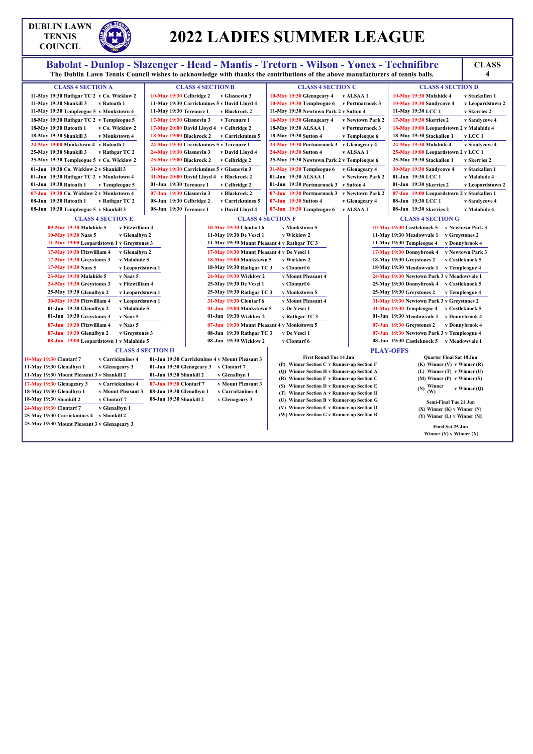## **DUBLIN LAWN TENNIS COUNCIL**

# **2022 LADIES SUMMER LEAGUE**

#### Babolat - Dunlop - Slazenger - Head - Mantis - Tretorn - Wilson - Yonex - Technifibre<br>The Dublin Lawn Tennis Council wishes to acknowledge with thanks the contributions of the above manufacturers of tennis balls. **4 CLASS 4 SECTION A 11-May 19:30 Rathgar TC 2 v Co. Wicklow 2 11-May 19:30 Shankill 3 v Ratoath 1 11-May 19:30 Templeogue 5 v Monkstown 4 18-May 19:30 Rathgar TC 2 v Templeogue 5 18-May 19:30 Ratoath 1 v Co. Wicklow 2 18-May 19:30 Shankill 3 v Monkstown 4 24-May 19:00 Monkstown 4 v Ratoath 1 25-May 19:30 Shankill 3 v Rathgar TC 2 25-May 19:30 Templeogue 5 v Co. Wicklow 2 01-Jun 19:30 Co. Wicklow 2 v Shankill 3 01-Jun 19:30 Rathgar TC 2 v Monkstown 4 01-Jun 19:30 Ratoath 1 v Templeogue 5 07-Jun 19:30 Co. Wicklow 2 v Monkstown 4 08-Jun 19:30 Ratoath 1 v Rathgar TC 2 08-Jun 19:30 Templeogue 5 v Shankill 3 CLASS 4 SECTION B 10-May 19:30 Celbridge 2 v Glasnevin 3 11-May 19:30 Carrickmines 5 v David Lloyd 4 11-May 19:30 Terenure 1 v Blackrock 2 17-May 19:30 Glasnevin 3 v Terenure 1 17-May 20:00 David Lloyd 4 v Celbridge 2 18-May 19:00 Blackrock 2 v Carrickmines 5 24-May 19:30 Carrickmines 5 v Terenure 1 24-May 19:30 Glasnevin 3 v David Lloyd 4 25-May 19:00 Blackrock 2 v Celbridge 2 31-May 19:30 Carrickmines 5 v Glasnevin 3 31-May 20:00 David Lloyd 4 v Blackrock 2 01-Jun 19:30 Terenure 1 v Celbridge 2 07-Jun 19:30 Glasnevin 3 v Blackrock 2 08-Jun 19:30 Celbridge 2 v Carrickmines 5 08-Jun 19:30 Terenure 1 v David Lloyd 4 CLASS 4 SECTION C 10-May 19:30 Glenageary 4 v ALSAA 1 10-May 19:30 Templeogue 6 v Portmarnock 3 11-May 19:30 Newtown Park 2 v Sutton 4 16-May 19:30 Glenageary 4 v Newtown Park 2 18-May 19:30 ALSAA 1 v Portmarnock 3 18-May 19:30 Sutton 4 v Templeogue 6 23-May 19:30 Portmarnock 3 v Glenageary 4 24-May 19:30 Sutton 4 v ALSAA 1 25-May 19:30 Newtown Park 2 v Templeogue 6 31-May 19:30 Templeogue 6 v Glenageary 4 01-Jun 19:30 ALSAA 1 v Newtown Park 2 01-Jun 19:30 Portmarnock 3 v Sutton 4 07-Jun 19:30 Portmarnock 3 v Newtown Park 2 07-Jun 19:30 Sutton 4 v Glenageary 4 07-Jun 19:30 Templeogue 6 v ALSAA 1 CLASS 4 SECTION D 10-May 19:30 Malahide 4 v Stackallen 1 10-May 19:30 Sandycove 4 v Leopardstown 2 11-May 19:30 LCC 1 v Skerries 2 17-May 19:30 Skerries 2 v Sandycove 4 18-May 19:00 Leopardstown 2 v Malahide 4 18-May 19:30 Stackallen 1 v LCC 1 24-May 19:30 Malahide 4 v Sandycove 4 25-May 19:00 Leopardstown 2 v LCC 1 25-May 19:30 Stackallen 1 v Skerries 2 30-May 19:30 Sandycove 4 v Stackallen 1 01-Jun 19:30 LCC 1 v Malahide 4 01-Jun 19:30 Skerries 2 v Leopardstown 2 07-Jun 19:00 Leopardstown 2 v Stackallen 1 08-Jun 19:30 LCC 1 v Sandycove 4 08-Jun 19:30 Skerries 2 v Malahide 4 CLASS 4 SECTION E 09-May 19:30 Malahide 5 v Fitzwilliam 4 10-May 19:30 Naas 5 v Glenalbyn 2 11-May 19:00 Leopardstown 1 v Greystones 3 17-May 19:30 Fitzwilliam 4 v Glenalbyn 2 17-May 19:30 Greystones 3 v Malahide 5 17-May 19:30 Naas 5 v Leopardstown 1 23-May 19:30 Malahide 5 v Naas 5 24-May 19:30 Greystones 3 v Fitzwilliam 4 25-May 19:30 Glenalbyn 2 v Leopardstown 1 30-May 19:30 Fitzwilliam 4 v Leopardstown 1 01-Jun 19:30 Glenalbyn 2 v Malahide 5 01-Jun 19:30 Greystones 3 v Naas 5 07-Jun 19:30 Fitzwilliam 4 v Naas 5 07-Jun 19:30 Glenalbyn 2 v Greystones 3 08-Jun 19:00 Leopardstown 1 v Malahide 5 CLASS 4 SECTION F 10-May 19:30 Clontarf 6 v Monkstown 5 11-May 19:30 De Vesci 1 v Wicklow 2 11-May 19:30 Mount Pleasant 4 v Rathgar TC 3 17-May 19:30 Mount Pleasant 4 v De Vesci 1 18-May 19:00 Monkstown 5 v Wicklow 2 18-May 19:30 Rathgar TC 3 v Clontarf 6 24-May 19:30 Wicklow 2 v Mount Pleasant 4 25-May 19:30 De Vesci 1 v Clontarf 6 25-May 19:30 Rathgar TC 3 v Monkstown 5 31-May 19:30 Clontarf 6 v Mount Pleasant 4 01-Jun 19:00 Monkstown 5 v De Vesci 1 01-Jun 19:30 Wicklow 2 v Rathgar TC 3 07-Jun 19:30 Mount Pleasant 4 v Monkstown 5 08-Jun 19:30 Rathgar TC 3 v De Vesci 1 08-Jun 19:30 Wicklow 2 v Clontarf 6 CLASS 4 SECTION G 10-May 19:30 Castleknock 5 v Newtown Park 3 11-May 19:30 Meadowvale 1 v Greystones 2 11-May 19:30 Templeogue 4 v Donnybrook 4 17-May 19:30 Donnybrook 4 v Newtown Park 3 18-May 19:30 Greystones 2 v Castleknock 5 18-May 19:30 Meadowvale 1 v Templeogue 4 24-May 19:30 Newtown Park 3 v Meadowvale 1 25-May 19:30 Donnybrook 4 v Castleknock 5 25-May 19:30 Greystones 2 v Templeogue 4 31-May 19:30 Newtown Park 3 v Greystones 2 31-May 19:30 Templeogue 4 v Castleknock 5 01-Jun 19:30 Meadowvale 1 v Donnybrook 4 07-Jun 19:30 Greystones 2 v Donnybrook 4 07-Jun 19:30 Newtown Park 3 v Templeogue 4 08-Jun 19:30 Castleknock 5 v Meadowvale 1 CLASS 4 SECTION H 10-May 19:30 Clontarf 7 v Carrickmines 4 11-May 19:30 Glenalbyn 1 v Glenageary 3 11-May 19:30 Mount Pleasant 3 v Shankill 2 17-May 19:30 Glenageary 3 v Carrickmines 4 18-May 19:30 Glenalbyn 1 v Mount Pleasant 3 18-May 19:30 Shankill 2 v Clontarf 7 24-May 19:30 Clontarf 7 v Glenalbyn 1 25-May 19:30 Carrickmines 4 v Shankill 2 25-May 19:30 Mount Pleasant 3 v Glenageary 3 01-Jun 19:30 Carrickmines 4 v Mount Pleasant 3 01-Jun 19:30 Glenageary 3 v Clontarf 7 01-Jun 19:30 Shankill 2 v Glenalbyn 1 07-Jun 19:30 Clontarf 7 v Mount Pleasant 3 08-Jun 19:30 Glenalbyn 1 v Carrickmines 4 08-Jun 19:30 Shankill 2 v Glenageary 3 PLAY-OFFS First Round Tue 14 Jun (P) Winner Section C v Runner-up Section F (Q) Winner Section H v Runner-up Section A (R) Winner Section F v Runner-up Section C (S) Winner Section D v Runner-up Section E (T) Winner Section A v Runner-up Section H (U) Winner Section B v Runner-up Section G (V) Winner Section E v Runner-up Section D (W) Winner Section G v Runner-up Section B Quarter Final Sat 18 Jun (K) Winner (V) v Winner (R) (L) Winner (T) v Winner (U) (M) Winner (P) v Winner (S) (N) Winner (W) <sup>v</sup> Winner (Q) Semi-Final Tue 21 Jun (X) Winner (K) v Winner (N) (Y) Winner (L) v Winner (M) Final Sat 25 Jun Winner (Y) v Winner (X)**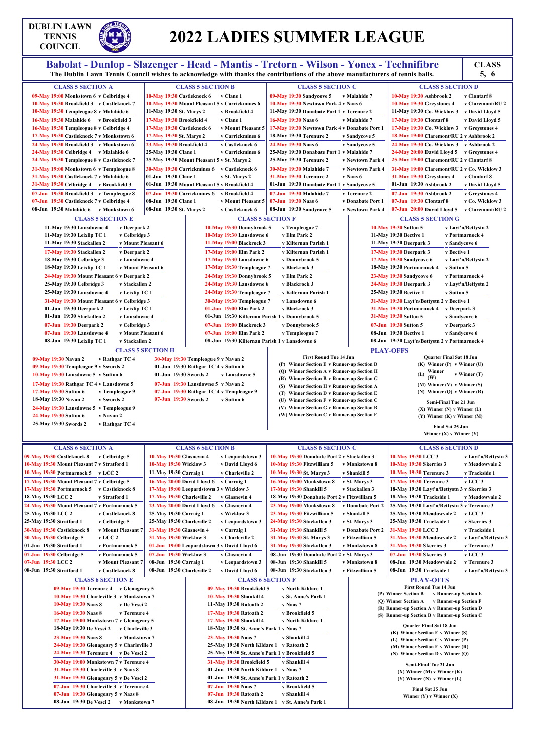## **DUBLIN LAWN TENNIS COUNCIL**

## **2022 LADIES SUMMER LEAGUE**

## Babolat - Dunlop - Slazenger - Head - Mantis - Tretorn - Wilson - Yonex - Technifibre<br>The Dublin Lawn Tennis Council wishes to acknowledge with thanks the contributions of the above manufacturers of tennis balls. 5, 6

**5, 6**

|                                                  |                            |                                                    | гис Dubini Lawn Tennis Counen wishes to аскномнейся with thanks the contributions of the above manufacturers of tennis bans. |                   |                                                                        | $\mathbf{v}$ , $\mathbf{v}$ |
|--------------------------------------------------|----------------------------|----------------------------------------------------|------------------------------------------------------------------------------------------------------------------------------|-------------------|------------------------------------------------------------------------|-----------------------------|
| <b>CLASS 5 SECTION A</b>                         |                            | <b>CLASS 5 SECTION B</b>                           | <b>CLASS 5 SECTION C</b>                                                                                                     |                   | <b>CLASS 5 SECTION D</b>                                               |                             |
| 09-May 19:00 Monkstown 6 v Celbridge 4           | 10-May 19:30 Castleknock 6 | v Clane 1                                          | 09-May 19:30 Sandycove 5                                                                                                     | v Malahide 7      | 10-May 19:30 Ashbrook 2                                                | v Clontarf 8                |
| 10-May 19:30 Brookfield 3 v Castleknock 7        |                            | 10-May 19:30 Mount Pleasant 5 v Carrickmines 6     | 10-May 19:30 Newtown Park 4 v Naas 6                                                                                         |                   | 10-May 19:30 Greystones 4                                              | v Claremont/RU 2            |
| 10-May 19:30 Templeogue 8 v Malahide 6           | 11-May 19:30 St. Marys 2   | v Brookfield 4                                     | 11-May 19:30 Donabate Port 1 v Terenure 2                                                                                    |                   | 11-May 19:30 Co. Wicklow 3 v David Lloyd 5                             |                             |
| 16-May 19:30 Malahide 6 v Brookfield 3           | 17-May 19:30 Brookfield 4  | v Clane 1                                          | 16-May 19:30 Naas 6                                                                                                          | v Malahide 7      | 17-May 19:30 Clontarf 8                                                | v David Lloyd 5             |
| 16-May 19:30 Templeogue 8 v Celbridge 4          | 17-May 19:30 Castleknock 6 | v Mount Pleasant 5                                 | 17-May 19:30 Newtown Park 4 v Donabate Port 1                                                                                |                   | 17-May 19:30 Co. Wicklow 3 v Greystones 4                              |                             |
| 17-May 19:30 Castleknock 7 v Monkstown 6         | 17-May 19:30 St. Marys 2   | v Carrickmines 6                                   | 18-May 19:30 Terenure 2                                                                                                      | v Sandycove 5     | 18-May 19:00 Claremont/RU 2 v Ashbrook 2                               |                             |
| 24-May 19:30 Brookfield 3 v Monkstown 6          | 23-May 19:30 Brookfield 4  | v Castleknock 6                                    | 24-May 19:30 Naas 6                                                                                                          | v Sandycove 5     | 24-May 19:30 Co. Wicklow 3 v Ashbrook 2                                |                             |
| 24-May 19:30 Celbridge 4 v Malahide 6            | 25-May 19:30 Clane 1       | v Carrickmines 6                                   | 25-May 19:30 Donabate Port 1 v Malahide 7                                                                                    |                   | 24-May 20:00 David Lloyd 5 v Greystones 4                              |                             |
| 24-May 19:30 Templeogue 8 v Castleknock 7        |                            | 25-May 19:30 Mount Pleasant 5 v St. Marys 2        | 25-May 19:30 Terenure 2                                                                                                      | v Newtown Park 4  | 25-May 19:00 Claremont/RU 2 v Clontarf 8                               |                             |
| 31-May 19:00 Monkstown 6 v Templeogue 8          |                            | 30-May 19:30 Carrickmines 6 v Castleknock 6        | 30-May 19:30 Malahide 7                                                                                                      | v Newtown Park 4  | 31-May 19:00 Claremont/RU 2 v Co. Wicklow 3                            |                             |
| 31-May 19:30 Castleknock 7 v Malahide 6          | 01-Jun 19:30 Clane 1       | v St. Marys 2                                      | 31-May 19:30 Terenure 2                                                                                                      | v Naas 6          | 31-May 19:30 Greystones 4                                              | v Clontarf 8                |
| 31-May 19:30 Celbridge 4 v Brookfield 3          |                            | 01-Jun 19:30 Mount Pleasant 5 v Brookfield 4       | 01-Jun 19:30 Donabate Port 1 v Sandycove 5                                                                                   |                   | 01-Jun 19:30 Ashbrook 2                                                | v David Lloyd 5             |
| 07-Jun 19:30 Brookfield 3 v Templeogue 8         |                            | 07-Jun 19:30 Carrickmines 6 v Brookfield 4         | 07-Jun 19:30 Malahide 7                                                                                                      | v Terenure 2      | 07-Jun 19:30 Ashbrook 2                                                | v Greystones 4              |
| 07-Jun 19:30 Castleknock 7 v Celbridge 4         | 08-Jun 19:30 Clane 1       | v Mount Pleasant 5                                 | 07-Jun 19:30 Naas 6                                                                                                          | v Donabate Port 1 | 07-Jun 19:30 Clontarf 8                                                | v Co. Wicklow 3             |
| 08-Jun 19:30 Malahide 6 v Monkstown 6            | 08-Jun 19:30 St. Marys 2   | v Castleknock 6                                    | 08-Jun 19:30 Sandycove 5                                                                                                     | v Newtown Park 4  | 07-Jun 20:00 David Lloyd 5 v Claremont/RU 2                            |                             |
|                                                  |                            |                                                    |                                                                                                                              |                   |                                                                        |                             |
| <b>CLASS 5 SECTION E</b>                         |                            | <b>CLASS 5 SECTION F</b>                           |                                                                                                                              |                   | <b>CLASS 5 SECTION G</b>                                               |                             |
| 11-May 19:30 Lansdowne 4<br>v Deerpark 2         |                            | 10-May 19:30 Donnybrook 5                          | v Templeogue 7                                                                                                               |                   | <b>10-May 19:30 Sutton 5</b>                                           | v Layt'n/Bettystn 2         |
| 11-May 19:30 Leixlip TC 1<br>v Celbridge 3       |                            | 10-May 19:30 Lansdowne 6                           | v Elm Park 2                                                                                                                 |                   | 11-May 19:30 Bective 1                                                 | v Portmarnock 4             |
| 11-May 19:30 Stackallen 2<br>v Mount Pleasant 6  |                            | 11-May 19:00 Blackrock 3                           | v Kilternan Parish 1                                                                                                         |                   | 11-May 19:30 Deerpark 3                                                | v Sandycove 6               |
| 17-May 19:30 Stackallen 2<br>v Deerpark 2        |                            | 17-May 19:00 Elm Park 2                            | v Kilternan Parish 1                                                                                                         |                   | 17-May 19:30 Deerpark 3<br>v Bective 1                                 |                             |
| 18-May 19:30 Celbridge 3<br>v Lansdowne 4        |                            | 17-May 19:30 Lansdowne 6                           | v Donnybrook 5                                                                                                               |                   | 17-May 19:30 Sandycove 6                                               | v Layt'n/Bettystn 2         |
| 18-May 19:30 Leixlip TC 1<br>v Mount Pleasant 6  |                            | 17-May 19:30 Templeogue 7                          | v Blackrock 3                                                                                                                |                   | 18-May 19:30 Portmarnock 4<br>v Sutton 5                               |                             |
| 24-May 19:30 Mount Pleasant 6 v Deerpark 2       |                            | 24-May 19:30 Donnybrook 5                          | v Elm Park 2                                                                                                                 |                   | 23-May 19:30 Sandycove 6                                               | v Portmarnock 4             |
| 25-May 19:30 Celbridge 3<br>v Stackallen 2       |                            | 24-May 19:30 Lansdowne 6                           | v Blackrock 3                                                                                                                |                   | 24-May 19:30 Deerpark 3                                                | v Layt'n/Bettystn 2         |
| 25-May 19:30 Lansdowne 4<br>v Leixlip TC 1       |                            | 24-May 19:30 Templeogue 7                          | v Kilternan Parish 1                                                                                                         |                   | 25-May 19:30 Bective 1<br>v Sutton 5                                   |                             |
| 31-May 19:30 Mount Pleasant 6 v Celbridge 3      |                            | 30-May 19:30 Templeogue 7                          | v Lansdowne 6                                                                                                                |                   | 31-May 19:30 Layt'n/Bettystn 2 v Bective 1                             |                             |
| 01-Jun 19:30 Deerpark 2<br>v Leixlip TC 1        |                            | 01-Jun 19:00 Elm Park 2                            | v Blackrock 3                                                                                                                |                   | 31-May 19:30 Portmarnock 4 v Deerpark 3                                |                             |
| 01-Jun 19:30 Stackallen 2<br>v Lansdowne 4       |                            | 01-Jun 19:30 Kilternan Parish 1 v Donnybrook 5     |                                                                                                                              |                   | 31-May 19:30 Sutton 5                                                  | v Sandycove 6               |
| 07-Jun 19:30 Deerpark 2<br>v Celbridge 3         |                            | 07-Jun 19:00 Blackrock 3                           | v Donnybrook 5                                                                                                               |                   | 07-Jun 19:30 Sutton 5<br>v Deerpark 3                                  |                             |
| 07-Jun 19:30 Lansdowne 4<br>v Mount Pleasant 6   |                            | 07-Jun 19:00 Elm Park 2                            | v Templeogue 7                                                                                                               |                   | 08-Jun 19:30 Bective 1                                                 | v Sandycove 6               |
| 08-Jun 19:30 Leixlip TC 1<br>v Stackallen 2      |                            | 08-Jun 19:30 Kilternan Parish 1 v Lansdowne 6      |                                                                                                                              |                   | 08-Jun 19:30 Layt'n/Bettystn 2 v Portmarnock 4                         |                             |
|                                                  | <b>CLASS 5 SECTION H</b>   |                                                    |                                                                                                                              |                   | <b>PLAY-OFFS</b>                                                       |                             |
| 09-May 19:30 Navan 2                             |                            | v Rathgar TC 4 30-May 19:30 Templeogue 9 v Navan 2 | <b>First Round Tue 14 Jun</b>                                                                                                |                   | <b>Quarter Final Sat 18 Jun</b>                                        |                             |
| 09-May 19:30 Templeogue 9 v Swords 2             |                            | 01-Jun 19:30 Rathgar TC 4 v Sutton 6               | (P) Winner Section E v Runner-up Section D                                                                                   |                   | $(K)$ Winner $(P)$ v Winner $(U)$                                      |                             |
| 10-May 19:30 Lansdowne 5 v Sutton 6              | 01-Jun 19:30 Swords 2      | v Lansdowne 5                                      | (Q) Winner Section A v Runner-up Section H                                                                                   |                   | (L) Winner                                                             | v Winner (T)                |
| 17-May 19:30 Rathgar TC 4 v Lansdowne 5          |                            | 07-Jun 19:30 Lansdowne 5 v Navan 2                 | (R) Winner Section B v Runner-up Section G                                                                                   |                   | $(M)$ Winner $(V)$ v Winner $(S)$                                      |                             |
| 17-May 19:30 Sutton 6<br>v Templeogue 9          |                            | 07-Jun 19:30 Rathgar TC 4 v Templeogue 9           | (S) Winner Section H v Runner-up Section A                                                                                   |                   | (N) Winner (Q) $v$ Winner (R)                                          |                             |
| 18-May 19:30 Navan 2<br>v Swords 2               | 07-Jun 19:30 Swords 2      | v Sutton 6                                         | (T) Winner Section D v Runner-up Section E<br>(U) Winner Section F v Runner-up Section C                                     |                   |                                                                        |                             |
| 24-May 19:30 Lansdowne 5 v Templeogue 9          |                            |                                                    | (V) Winner Section G v Runner-up Section B                                                                                   |                   | Semi-Final Tue 21 Jun                                                  |                             |
| 24-May 19:30 Sutton 6<br>v Navan 2               |                            |                                                    | (W) Winner Section C v Runner-up Section F                                                                                   |                   | $(X)$ Winner $(N)$ v Winner $(L)$<br>$(Y)$ Winner $(K)$ v Winner $(M)$ |                             |
| 25-May 19:30 Swords 2<br>v Rathgar TC 4          |                            |                                                    |                                                                                                                              |                   |                                                                        |                             |
|                                                  |                            |                                                    |                                                                                                                              |                   | Final Sat 25 Jun                                                       |                             |
|                                                  |                            |                                                    |                                                                                                                              |                   | Winner $(X)$ v Winner $(Y)$                                            |                             |
| <b>CLASS 6 SECTION A</b>                         |                            | <b>CLASS 6 SECTION B</b>                           | <b>CLASS 6 SECTION C</b>                                                                                                     |                   | <b>CLASS 6 SECTION D</b>                                               |                             |
| 09-May 19:30 Castleknock 8<br>v Celbridge 5      | 10-May 19:30 Glasnevin 4   | v Leopardstown 3                                   | 10-May 19:30 Donabate Port 2 v Stackallen 3                                                                                  |                   | 10-May 19:30 LCC 3                                                     | v Layt'n/Bettystn 3         |
| 10-May 19:30 Mount Pleasant 7 v Stratford 1      | 10-May 19:30 Wicklow 3     | v David Lloyd 6                                    | 10-May 19:30 Fitzwilliam 5                                                                                                   | v Monkstown 8     | 10-May 19:30 Skerries 3                                                | v Meadowvale 2              |
| 10-May 19:30 Portmarnock 5 v LCC 2               | 11-May 19:30 Carraig 1     | v Charleville 2                                    | 10-May 19:30 St. Marys 3                                                                                                     | v Shankill 5      | 10-May 19:30 Terenure 3                                                | v Trackside 1               |
| 17-May 19:30 Mount Pleasant 7 v Celbridge 5      |                            | 16-May 20:00 David Lloyd 6 v Carraig 1             | 16-May 19:00 Monkstown 8                                                                                                     | v St. Marys 3     | 17-May 19:30 Terenure 3                                                | v LCC 3                     |
| 17-May 19:30 Portmarnock 5 v Castleknock 8       |                            | 17-May 19:00 Leopardstown 3 v Wicklow 3            | 17-May 19:30 Shankill 5                                                                                                      | v Stackallen 3    | 18-May 19:30 Layt'n/Bettystn 3 v Skerries 3                            |                             |
| 18-May 19:30 LCC 2                               | 17-May 19:30 Charleville 2 | v Glasnevin 4                                      | 18-May 19:30 Donabate Port 2 v Fitzwilliam 5                                                                                 |                   | 18-May 19:30 Trackside 1                                               |                             |
| v Stratford 1                                    |                            |                                                    |                                                                                                                              |                   |                                                                        | v Meadowyale 2              |
| 24-May 19:30 Mount Pleasant 7 v Portmarnock 5    |                            | 23-May 20:00 David Lloyd 6 v Glasnevin 4           | 23-May 19:00 Monkstown 8                                                                                                     | v Donabate Port 2 | 25-May 19:30 Layt'n/Bettystn 3 v Terenure 3                            |                             |
| 25-May 19:30 LCC 2<br>v Castleknock 8            | 25-May 19:30 Carraig 1     | v Wicklow 3                                        | 23-May 19:30 Fitzwilliam 5                                                                                                   | v Shankill 5      | 25-May 19:30 Meadowvale 2                                              | $v$ LCC $3$                 |
| 25-May 19:30 Stratford 1<br>v Celbridge 5        | 25-May 19:30 Charleville 2 | v Leopardstown 3                                   | 24-May 19:30 Stackallen 3                                                                                                    | v St. Marys 3     | 25-May 19:30 Trackside 1                                               | v Skerries 3                |
| 30-May 19:30 Castleknock 8<br>v Mount Pleasant 7 | 31-May 19:30 Glasnevin 4   | v Carraig 1                                        | 31-May 19:30 Shankill 5                                                                                                      | v Donabate Port 2 | 31-May 19:30 LCC 3                                                     | v Trackside 1               |
| 30-May 19:30 Celbridge 5<br>v LCC 2              | 31-May 19:30 Wicklow 3     | v Charleville 2                                    | 31-May 19:30 St. Marys 3                                                                                                     | v Fitzwilliam 5   | 31-May 19:30 Meadowvale 2                                              | v Layt'n/Bettystn 3         |

**01-Jun 19:30 Stratford 1 v Portmarnock 5 07-Jun 19:30 Celbridge 5 v Portmarnock 5 07-Jun 19:30 LCC 2 v Mount Pleasant 7**

## **08-Jun 19:30 Stratford 1 v Castleknock 8**

**01-Jun 19:00 Leopardstown 3 v David Lloyd 6 07-Jun 19:30 Wicklow 3 v Glasnevin 4 08-Jun 19:30 Carraig 1 v Leopardstown 3**

#### **08-Jun 19:30 Charleville 2 v David Lloyd 6 08-Jun 19:30 Stackallen 3 v Fitzwilliam 5**

**31-May 19:30 Stackallen 3 v Monkstown 8 08-Jun 19:30 Donabate Port 2 v St. Marys 3 08-Jun 19:30 Shankill 5 v Monkstown 8**

**31-May 19:30 Skerries 3 v Terenure 3 07-Jun 19:30 Skerries 3 v LCC 3 08-Jun 19:30 Meadowvale 2 v Terenure 3**

**CLASS 6 SECTION E 09-May 19:30 Terenure 4 v Glenageary 5 10-May 19:30 Charleville 3 v Monkstown 7 10-May 19:30 Naas 8 v De Vesci 2 16-May 19:30 Naas 8 v Terenure 4 17-May 19:00 Monkstown 7 v Glenageary 5 18-May 19:30 De Vesci 2 v Charleville 3 23-May 19:30 Naas 8 v Monkstown 7 24-May 19:30 Glenageary 5 v Charleville 3 24-May 19:30 Terenure 4 v De Vesci 2 30-May 19:00 Monkstown 7 v Terenure 4 31-May 19:30 Charleville 3 v Naas 8 31-May 19:30 Glenageary 5 v De Vesci 2 07-Jun 19:30 Charleville 3 v Terenure 4 07-Jun 19:30 Glenageary 5 v Naas 8 08-Jun 19:30 De Vesci 2 v Monkstown 7**

#### **CLASS 6 SECTION F**

|                     | 09-May 19:30 Brookfield 5                     | v North Kildare 1   |
|---------------------|-----------------------------------------------|---------------------|
|                     | 10-May 19:30 Shankill 4                       | v St. Anne's Park 1 |
|                     | 11-May 19:30 Ratoath 2                        | v Naas 7            |
|                     | 17-May 19:30 Ratoath 2                        | v Brookfield 5      |
|                     | 17-May 19:30 Shankill 4                       | v North Kildare 1   |
|                     | 18-May 19:30 St. Anne's Park 1 v Naas 7       |                     |
| 23-May 19:30 Naas 7 |                                               | v Shankill 4        |
|                     | 25-May 19:30 North Kildare 1 v Ratoath 2      |                     |
|                     | 25-May 19:30 St. Anne's Park 1 v Brookfield 5 |                     |
|                     | 31-May 19:30 Brookfield 5 v Shankill 4        |                     |
|                     | 01-Jun 19:30 North Kildare 1 v Naas 7         |                     |
|                     | 01-Jun 19:30 St. Anne's Park 1 v Ratoath 2    |                     |
| 07-Jun 19:30 Naas 7 |                                               | v Brookfield 5      |
|                     | 07-Jun 19:30 Ratoath 2                        | v Shankill 4        |
|                     | 08-Jun 19:30 North Kildare 1                  | v St. Anne's Park 1 |

#### **PLAY-OFFS**

**First Round Tue 14 Jun (P) Winner Section B v Runner-up Section E (Q) Winner Section A v Runner-up Section F (R) Runner-up Section A vRunner-up Section D (S) Runner-up Section B v Runner-up Section C**

> **Quarter Final Sat 18 Jun (K) Winner Section E v Winner (S) (L) Winner Section C v Winner (P) (M) Winner Section F v Winner (R) (N) Winner Section D v Winner (Q)**

**Semi-Final Tue 21 Jun (X) Winner (M) v Winner (K) (Y) Winner (N) v Winner (L)**

**Final Sat 25 Jun Winner (Y) v Winner (X)**